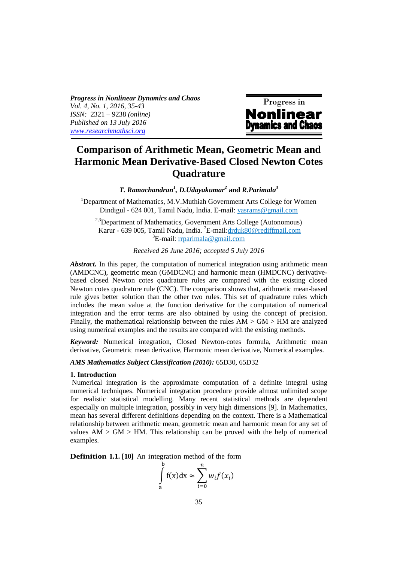*Progress in Nonlinear Dynamics and Chaos Vol. 4, No. 1, 2016, 35-43 ISSN:* 2321 – 9238 *(online) Published on 13 July 2016 www.researchmathsci.org*



# **Comparison of Arithmetic Mean, Geometric Mean and Harmonic Mean Derivative-Based Closed Newton Cotes Quadrature**

*T. Ramachandran<sup>1</sup> , D.Udayakumar<sup>2</sup>*  **and** *R.Parimala<sup>3</sup>*

<sup>1</sup>Department of Mathematics, M.V.Muthiah Government Arts College for Women Dindigul - 624 001, Tamil Nadu, India. E**-**mail: yasrams@gmail.com

<sup>2,3</sup>Department of Mathematics, Government Arts College (Autonomous) Karur - 639 005, Tamil Nadu, India. <sup>2</sup>E-mail:drduk80@rediffmail.com  ${}^{3}E$ -mail: rrparimala@gmail.com

*Received 26 June 2016; accepted 5 July 2016* 

*Abstract.* In this paper, the computation of numerical integration using arithmetic mean (AMDCNC), geometric mean (GMDCNC) and harmonic mean (HMDCNC) derivativebased closed Newton cotes quadrature rules are compared with the existing closed Newton cotes quadrature rule (CNC). The comparison shows that, arithmetic mean-based rule gives better solution than the other two rules. This set of quadrature rules which includes the mean value at the function derivative for the computation of numerical integration and the error terms are also obtained by using the concept of precision. Finally, the mathematical relationship between the rules  $AM > GM > HM$  are analyzed using numerical examples and the results are compared with the existing methods.

*Keyword:* Numerical integration, Closed Newton-cotes formula, Arithmetic mean derivative, Geometric mean derivative, Harmonic mean derivative, Numerical examples.

# *AMS Mathematics Subject Classification (2010):* 65D30, 65D32

#### **1. Introduction**

 Numerical integration is the approximate computation of a definite integral using numerical techniques. Numerical integration procedure provide almost unlimited scope for realistic statistical modelling. Many recent statistical methods are dependent especially on multiple integration, possibly in very high dimensions [9]. In Mathematics, mean has several different definitions depending on the context. There is a Mathematical relationship between arithmetic mean, geometric mean and harmonic mean for any set of values  $AM > GM > HM$ . This relationship can be proved with the help of numerical examples.

**Definition 1.1.** [10] An integration method of the form

$$
\int_{a}^{b} f(x) dx \approx \sum_{i=0}^{n} w_{i} f(x_{i})
$$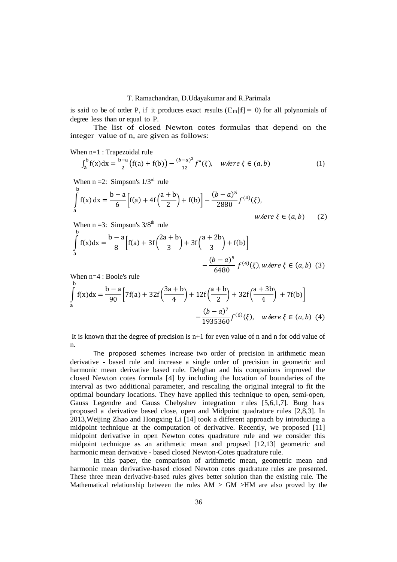#### T. Ramachandran, D.Udayakumar and R.Parimala

is said to be of order P, if it produces exact results  $(E_{\mathbf{n}}[f] = 0)$  for all polynomials of degree less than or equal to P.

 The list of closed Newton cotes formulas that depend on the integer value of n, are given as follows:

When  $n=1$ : Trapezoidal rule

$$
\int_{a}^{b} f(x)dx = \frac{b-a}{2} (f(a) + f(b)) - \frac{(b-a)^3}{12} f''(\xi), \quad \text{where } \xi \in (a, b)
$$
 (1)

When  $n = 2$ : Simpson's  $1/3^{rd}$  rule

$$
\int_{a}^{b} f(x) dx = \frac{b-a}{6} \Big[ f(a) + 4f\Big(\frac{a+b}{2}\Big) + f(b) \Big] - \frac{(b-a)^5}{2880} f^{(4)}(\xi),
$$
\nwhere  $\xi \in (a, b)$  (2)

When  $n = 3$ : Simpson's  $3/8<sup>th</sup>$  rule

$$
\int_{a}^{b} f(x)dx = \frac{b-a}{8} \Big[ f(a) + 3f\Big(\frac{2a+b}{3}\Big) + 3f\Big(\frac{a+2b}{3}\Big) + f(b) \Big] - \frac{(b-a)^5}{6480} f^{(4)}(\xi), where \xi \in (a, b)
$$
 (3)

When n=4 : Boole's rule

$$
\int_{a}^{b} f(x)dx = \frac{b-a}{90} \Big[ 7f(a) + 32f\Big(\frac{3a+b}{4}\Big) + 12f\Big(\frac{a+b}{2}\Big) + 32f\Big(\frac{a+3b}{4}\Big) + 7f(b) \Big] - \frac{(b-a)^7}{1935360} f^{(6)}(\xi), \text{ where } \xi \in (a, b) \tag{4}
$$

It is known that the degree of precision is n+1 for even value of n and n for odd value of n.

 The proposed schemes increase two order of precision in arithmetic mean derivative - based rule and increase a single order of precision in geometric and harmonic mean derivative based rule. Dehghan and his companions improved the closed Newton cotes formula [4] by including the location of boundaries of the interval as two additional parameter, and rescaling the original integral to fit the optimal boundary locations. They have applied this technique to open, semi-open, Gauss Legendre and Gauss Chebyshev integration r ules [5,6,1,7]. Burg has proposed a derivative based close, open and Midpoint quadrature rules [2,8,3]. In 2013,Weijing Zhao and Hongxing Li [14] took a different approach by introducing a midpoint technique at the computation of derivative. Recently, we proposed [11] midpoint derivative in open Newton cotes quadrature rule and we consider this midpoint technique as an arithmetic mean and propsed [12,13] geometric and harmonic mean derivative - based closed Newton-Cotes quadrature rule.

 In this paper, the comparison of arithmetic mean, geometric mean and harmonic mean derivative-based closed Newton cotes quadrature rules are presented. These three mean derivative-based rules gives better solution than the existing rule. The Mathematical relationship between the rules  $AM > GM > HM$  are also proved by the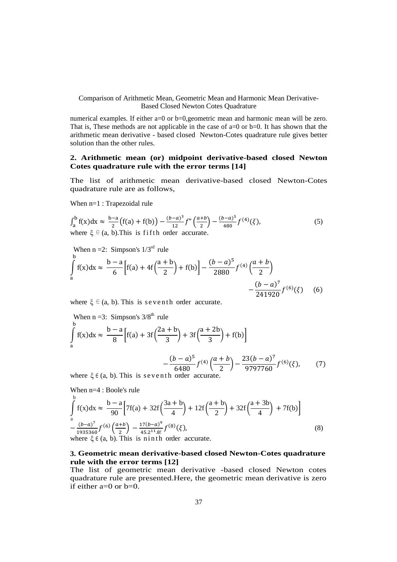Comparison of Arithmetic Mean, Geometric Mean and Harmonic Mean Derivative-Based Closed Newton Cotes Quadrature

numerical examples. If either a=0 or b=0, geometric mean and harmonic mean will be zero. That is, These methods are not applicable in the case of a=0 or b=0. It has shown that the arithmetic mean derivative - based closed Newton-Cotes quadrature rule gives better solution than the other rules.

## **2. Arithmetic mean (or) midpoint derivative-based closed Newton Cotes quadrature rule with the error terms [14]**

The list of arithmetic mean derivative-based closed Newton-Cotes quadrature rule are as follows,

When n=1 : Trapezoidal rule

$$
\int_{a}^{b} f(x)dx \approx \frac{b-a}{2} (f(a) + f(b)) - \frac{(b-a)^3}{12} f''\left(\frac{a+b}{2}\right) - \frac{(b-a)^5}{480} f^{(4)}(\xi),
$$
  
where  $\xi \in (a, b)$ . This is fifth order accurate. (5)

When  $n = 2$ : Simpson's  $1/3^{rd}$  rule

$$
\int_{a}^{b} f(x)dx \approx \frac{b-a}{6} \Big[ f(a) + 4f\Big(\frac{a+b}{2}\Big) + f(b) \Big] - \frac{(b-a)^5}{2880} f^{(4)}\Big(\frac{a+b}{2}\Big) - \frac{(b-a)^7}{241920} f^{(6)}(\xi) \tag{6}
$$

where  $\xi \in (a, b)$ . This is seventh order accurate.

When n = 3: Simpson's 3/8<sup>th</sup> rule  
\n
$$
\int_{a}^{b} f(x) dx \approx \frac{b-a}{8} \Big[ f(a) + 3f\Big(\frac{2a+b}{3}\Big) + 3f\Big(\frac{a+2b}{3}\Big) + f(b) \Big]
$$
\n
$$
-\frac{(b-a)^5}{6480} f^{(4)}\Big(\frac{a+b}{2}\Big) - \frac{23(b-a)^7}{9797760} f^{(6)}(\xi), \qquad (7)
$$

where  $\xi \in (a, b)$ . This is seven th order accurate.

When n=4 : Boole's rule  
\n
$$
\int_{a}^{b} f(x)dx \approx \frac{b-a}{90} \Big[ 7f(a) + 32f\Big(\frac{3a+b}{4}\Big) + 12f\Big(\frac{a+b}{2}\Big) + 32f\Big(\frac{a+3b}{4}\Big) + 7f(b) \Big]
$$
\n
$$
-\frac{(b-a)^{7}}{1935360} f^{(6)}\Big(\frac{a+b}{2}\Big) - \frac{17(b-a)^{9}}{45.2^{11}.8!} f^{(8)}(\xi),
$$
\nwhere  $\xi \in (a, b)$ . This is n in the order accurate. (8)

#### **3. Geometric mean derivative-based closed Newton-Cotes quadrature rule with the error terms [12]**

The list of geometric mean derivative -based closed Newton cotes quadrature rule are presented.Here, the geometric mean derivative is zero if either  $a=0$  or  $b=0$ .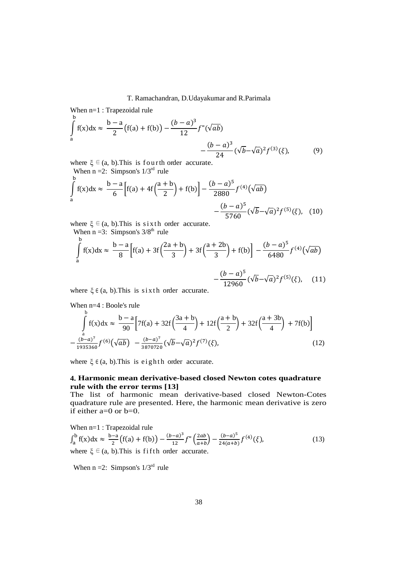#### T. Ramachandran, D.Udayakumar and R.Parimala

When n=1 : Trapezoidal rule

$$
\int_{a}^{b} f(x)dx \approx \frac{b-a}{2} (f(a) + f(b)) - \frac{(b-a)^{3}}{12} f''(\sqrt{ab}) - \frac{(b-a)^{3}}{24} (\sqrt{b} - \sqrt{a})^{2} f^{(3)}(\xi),
$$
 (9)

where  $\xi \in (a, b)$ . This is fourth order accurate. When  $n = 2$ : Simpson's  $1/3^{rd}$  rule

$$
\int_{a}^{b} f(x)dx \approx \frac{b-a}{6} \Big[ f(a) + 4f\Big(\frac{a+b}{2}\Big) + f(b) \Big] - \frac{(b-a)^5}{2880} f^{(4)}(\sqrt{ab})
$$

$$
- \frac{(b-a)^5}{5760} (\sqrt{b} - \sqrt{a})^2 f^{(5)}(\xi), \quad (10)
$$

where  $\xi \in (a, b)$ . This is sixth order accurate. When  $n = 3$ : Simpson's  $3/8<sup>th</sup>$  rule

$$
\int_{a}^{b} f(x)dx \approx \frac{b-a}{8} \Big[ f(a) + 3f\Big(\frac{2a+b}{3}\Big) + 3f\Big(\frac{a+2b}{3}\Big) + f(b) \Big] - \frac{(b-a)^5}{6480} f^{(4)}(\sqrt{ab}) - \frac{(b-a)^5}{12960}(\sqrt{b}-\sqrt{a})^2 f^{(5)}(\xi), \quad (11)
$$

where  $\xi \in (a, b)$ . This is sixth order accurate.

When n=4 : Boole's rule b

$$
\int_{a}^{b} f(x)dx \approx \frac{b-a}{90} \Big[ 7f(a) + 32f\Big(\frac{3a+b}{4}\Big) + 12f\Big(\frac{a+b}{2}\Big) + 32f\Big(\frac{a+3b}{4}\Big) + 7f(b) \Big] - \frac{(b-a)^7}{1935360} f^{(6)}(\sqrt{ab}) - \frac{(b-a)^7}{3870720} (\sqrt{b} - \sqrt{a})^2 f^{(7)}(\xi), \tag{12}
$$

where  $\xi \in (a, b)$ . This is eighth order accurate.

#### **4. Harmonic mean derivative-based closed Newton cotes quadrature rule with the error terms [13]**

The list of harmonic mean derivative-based closed Newton-Cotes quadrature rule are presented. Here, the harmonic mean derivative is zero if either a=0 or b=0.

When  $n=1$ : Trapezoidal rule

$$
\int_{a}^{b} f(x)dx \approx \frac{b-a}{2} (f(a) + f(b)) - \frac{(b-a)^3}{12} f''\left(\frac{2ab}{a+b}\right) - \frac{(b-a)^5}{24(a+b)} f^{(4)}(\xi),
$$
  
where  $\xi \in (a, b)$ . This is fifth order accurate. (13)

When  $n = 2$ : Simpson's  $1/3^{rd}$  rule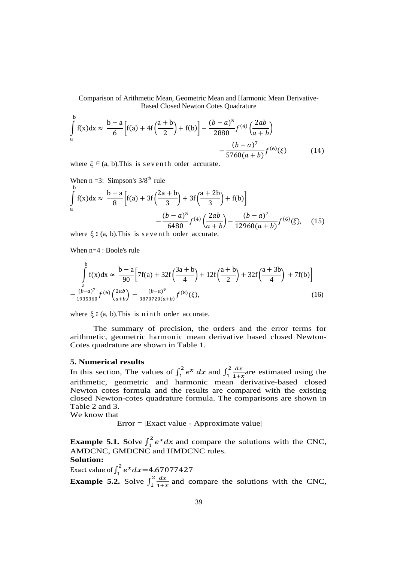Comparison of Arithmetic Mean, Geometric Mean and Harmonic Mean Derivative-Based Closed Newton Cotes Quadrature

$$
\int_{a}^{b} f(x)dx \approx \frac{b-a}{6} \Big[ f(a) + 4f\Big(\frac{a+b}{2}\Big) + f(b) \Big] - \frac{(b-a)^5}{2880} f^{(4)}\Big(\frac{2ab}{a+b}\Big) - \frac{(b-a)^7}{5760(a+b)} f^{(6)}(\xi) \tag{14}
$$

where  $\xi \in (a, b)$ . This is seven th order accurate.

When n =3: Simpson's 3/8<sup>th</sup> rule  
\n
$$
\int_{a}^{b} f(x) dx \approx \frac{b-a}{8} \Big[ f(a) + 3f\Big(\frac{2a+b}{3}\Big) + 3f\Big(\frac{a+2b}{3}\Big) + f(b) \Big] - \frac{(b-a)^{7}}{6480} f^{(4)}\Big(\frac{2ab}{a+b}\Big) - \frac{(b-a)^{7}}{12960(a+b)} f^{(6)}(\xi), \quad (15)
$$

where  $\xi \in (a, b)$ . This is seventh order accurate.

When n=4 : Boole's rule

$$
\int_{a}^{b} f(x)dx \approx \frac{b-a}{90} \Big[ 7f(a) + 32f\Big(\frac{3a+b}{4}\Big) + 12f\Big(\frac{a+b}{2}\Big) + 32f\Big(\frac{a+3b}{4}\Big) + 7f(b) \Big] \n- \frac{(b-a)^7}{1935360} f^{(6)}\Big(\frac{2ab}{a+b}\Big) - \frac{(b-a)^9}{3870720(a+b)} f^{(8)}(\xi),
$$
\n(16)

where  $\xi \in (a, b)$ . This is n in th order accurate.

 The summary of precision, the orders and the error terms for arithmetic, geometric harmonic mean derivative based closed Newton-Cotes quadrature are shown in Table 1.

#### **5. Numerical results**

In this section, The values of  $\int_1^2 e^x dx$  and  $\int_1^2 \frac{dx}{1+z}$  $1+x$  $\overline{\mathbf{c}}$  $\int_{1}^{2} \frac{dx}{1+x}$  are estimated using the arithmetic, geometric and harmonic mean derivative-based closed Newton cotes formula and the results are compared with the existing closed Newton-cotes quadrature formula. The comparisons are shown in Table 2 and 3.

We know that

Error = |Exact value - Approximate value|

**Example 5.1.** Solve  $\int_1^2 e^x dx$  and compare the solutions with the CNC, AMDCNC, GMDCNC and HMDCNC rules. **Solution:** 

Exact value of  $\int_{1}^{2} e^{x} dx = 4.67077427$  $\mathbf{1}$ **Example 5.2.** Solve  $\int_{1}^{2} \frac{dx}{1+x^2}$  $1+x$  $\overline{\mathbf{c}}$  $\int_{1}^{2} \frac{dx}{1+x}$  and compare the solutions with the CNC,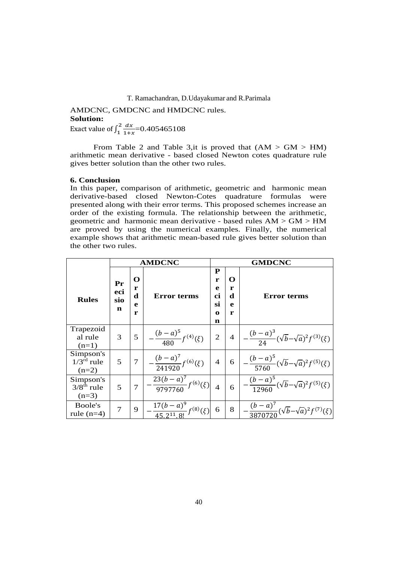#### T. Ramachandran, D.Udayakumar and R.Parimala

AMDCNC, GMDCNC and HMDCNC rules. **Solution:**  Exact value of  $\int_1^2 \frac{dx}{1+x^2}$  $1+x$  $\overline{\mathbf{c}}$  $\frac{72}{1} \frac{dx}{1+x}$  = 0.405465108

From Table 2 and Table 3, it is proved that  $(AM > GM > HM)$ arithmetic mean derivative - based closed Newton cotes quadrature rule gives better solution than the other two rules.

#### **6. Conclusion**

In this paper, comparison of arithmetic, geometric and harmonic mean derivative-based closed Newton-Cotes quadrature formulas were presented along with their error terms. This proposed schemes increase an order of the existing formula. The relationship between the arithmetic, geometric and harmonic mean derivative - based rules AM > GM > HM are proved by using the numerical examples. Finally, the numerical example shows that arithmetic mean-based rule gives better solution than the other two rules.

|                                                           | <b>AMDCNC</b>         |                       |                                               | <b>GMDCNC</b>                                                      |                |                                                                              |  |
|-----------------------------------------------------------|-----------------------|-----------------------|-----------------------------------------------|--------------------------------------------------------------------|----------------|------------------------------------------------------------------------------|--|
| <b>Rules</b>                                              | Pr<br>eci<br>sio<br>n | O<br>r<br>d<br>e<br>r | <b>Error terms</b>                            | ${\bf P}$<br>O<br>r<br>e<br>r<br>ci<br>d<br>si<br>e<br>r<br>0<br>n |                | <b>Error terms</b>                                                           |  |
| Trapezoid<br>al rule<br>$(n=1)$                           | 3                     | 5                     | $-\frac{(b-a)^5}{480}f^{(4)}(\xi)$            | $\overline{2}$                                                     | $\overline{4}$ | $-\frac{(b-a)^3}{24}(\sqrt{b}-\sqrt{a})^2f^{(3)}(\xi)$                       |  |
| Simpson's<br>$1/3^{\overline{\text{rd}}}$ rule<br>$(n=2)$ | 5                     | $\overline{7}$        | $-\frac{(b-a)^7}{241920}f^{(6)}(\xi)$         | $\overline{4}$                                                     | 6              | $\left  - \frac{(b-a)^5}{5760} (\sqrt{b} - \sqrt{a})^2 f^{(5)}(\xi) \right $ |  |
| Simpson's<br>$3/8^{th}$ rule<br>$(n=3)$                   | 5                     | 7                     | $-\frac{23(b-a)^7}{9797760}f^{(6)}(\xi)$      |                                                                    | 6              | $\left(-\frac{(b-a)^5}{12960}(\sqrt{b}-\sqrt{a})^2f^{(5)}(\xi)\right)$       |  |
| Boole's<br>rule $(n=4)$                                   | 7                     | 9                     | $-\frac{17(b-a)^9}{45.2^{11}.8!}f^{(8)}(\xi)$ | 6                                                                  | 8              | $-\frac{(b-a)^7}{3870720}(\sqrt{b}-\sqrt{a})^2f^{(7)}(\xi)$                  |  |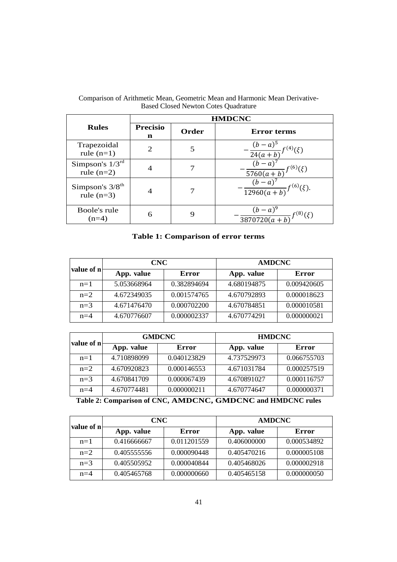|                                               | <b>HMDCNC</b>               |       |                                                                                      |  |
|-----------------------------------------------|-----------------------------|-------|--------------------------------------------------------------------------------------|--|
| <b>Rules</b>                                  | <b>Precisio</b><br>n        | Order | <b>Error terms</b>                                                                   |  |
| Trapezoidal<br>rule $(n=1)$                   | $\mathcal{D}_{\mathcal{A}}$ |       | $-\frac{(b-a)^5}{24(a+b)}f^{(4)}(\xi)$                                               |  |
| Simpson's $1/3^{rd}$<br>rule $(n=2)$          |                             |       |                                                                                      |  |
| Simpson's $3/8$ <sup>th</sup><br>rule $(n=3)$ |                             |       | $\frac{(b-a)^7}{5760(a+b)}f^{(6)}(\xi)$<br>$\frac{(b-a)^7}{12960(a+b)}f^{(6)}(\xi).$ |  |
| Boole's rule<br>$(n=4)$                       | 6                           | 9     | $\frac{(b-a)^9}{3870720(a+b)}f^{(8)}(\xi)$                                           |  |

Comparison of Arithmetic Mean, Geometric Mean and Harmonic Mean Derivative-Based Closed Newton Cotes Quadrature

# **Table 1: Comparison of error terms**

| value of n | <b>CNC</b>  |             | <b>AMDCNC</b> |             |
|------------|-------------|-------------|---------------|-------------|
|            | App. value  | Error       | App. value    | Error       |
| $n=1$      | 5.053668964 | 0.382894694 | 4.680194875   | 0.009420605 |
| $n=2$      | 4.672349035 | 0.001574765 | 4.670792893   | 0.000018623 |
| $n=3$      | 4.671476470 | 0.000702200 | 4.670784851   | 0.000010581 |
| $n=4$      | 4.670776607 | 0.000002337 | 4.670774291   | 0.000000021 |

| value of n |             | <b>GMDCNC</b> | <b>HMDCNC</b> |             |
|------------|-------------|---------------|---------------|-------------|
|            | App. value  | Error         | App. value    | Error       |
| $n=1$      | 4.710898099 | 0.040123829   | 4.737529973   | 0.066755703 |
| $n=2$      | 4.670920823 | 0.000146553   | 4.671031784   | 0.000257519 |
| $n=3$      | 4.670841709 | 0.000067439   | 4.670891027   | 0.000116757 |
| $n=4$      | 4.670774481 | 0.000000211   | 4.670774647   | 0.000000371 |

| Table 2: Comparison of CNC, AMDCNC, GMDCNC and HMDCNC rules |  |
|-------------------------------------------------------------|--|
|-------------------------------------------------------------|--|

| value of n | CNC         |             | <b>AMDCNC</b> |             |  |
|------------|-------------|-------------|---------------|-------------|--|
|            | App. value  | Error       | App. value    | Error       |  |
| $n=1$      | 0.416666667 | 0.011201559 | 0.406000000   | 0.000534892 |  |
| $n=2$      | 0.405555556 | 0.000090448 | 0.405470216   | 0.000005108 |  |
| $n=3$      | 0.405505952 | 0.000040844 | 0.405468026   | 0.000002918 |  |
| $n=4$      | 0.405465768 | 0.000000660 | 0.405465158   | 0.000000050 |  |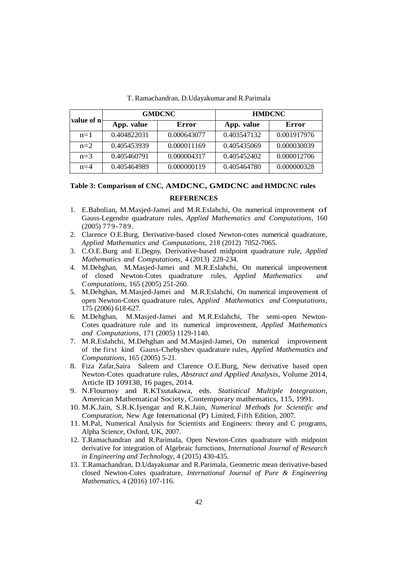| value of n |             | <b>GMDCNC</b> | <b>HMDCNC</b> |             |
|------------|-------------|---------------|---------------|-------------|
|            | App. value  | Error         | App. value    | Error       |
| $n=1$      | 0.404822031 | 0.000643077   | 0.403547132   | 0.001917976 |
| $n=2$      | 0.405453939 | 0.000011169   | 0.405435069   | 0.000030039 |
| $n=3$      | 0.405460791 | 0.000004317   | 0.405452402   | 0.000012706 |
| $n=4$      | 0.405464989 | 0.000000119   | 0.405464780   | 0.000000328 |

T. Ramachandran, D.Udayakumar and R.Parimala

# **Table 3: Comparison of CNC, AMDCNC, GMDCNC and HMDCNC rules**

#### **REFERENCES**

- 1. E.Babolian, M.Masjed-Jamei and M.R.Eslahchi, On numerical improvement of Gauss-Legendre quadrature rules, *Applied Mathematics and Computations*, 160 (2005) 779-789.
- 2. Clarence O.E.Burg, Derivative-based closed Newton-cotes numerical quadrature, *Applied Mathematics and Computations*, 218 (2012) 7052-7065.
- 3. C.O.E.Burg and E.Degny, Derivative-based midpoint quadrature rule, *Applied Mathematics and Computations*, 4 (2013) 228-234.
- 4. M.Dehghan, M.Masjed-Jamei and M.R.Eslahchi, On numerical improvement of closed Newton-Cotes quadrature rules, *Applied Mathematics and Computations,* 165 (2005) 251-260.
- 5. M.Dehghan, M.Masjed-Jamei and M.R.Eslahchi, On numerical improvement of open Newton-Cotes quadrature rules, A*pplied Mathematics and Computations*, 175 (2006) 618-627.
- 6. M.Dehghan, M.Masjed-Jamei and M.R.Eslahchi, The semi-open Newton-Cotes quadrature rule and its numerical improvement, *Applied Mathematics and Computations*, 171 (2005) 1129-1140.
- 7. M.R.Eslahchi, M.Dehghan and M.Masjed-Jamei, On numerical improvement of the first kind Gauss-Chebyshev quadrature rules, *Applied Mathematics and Computations*, 165 (2005) 5-21.
- 8. Fiza Zafar,Saira Saleem and Clarence O.E.Burg, New derivative based open Newton-Cotes quadrature rules, *Abstract and Applied Analysis*, Volume 2014, Article ID 109138, 16 pages, 2014.
- 9. N.Flournoy and R.KTsutakawa, eds. *Statistical Multiple Integration*, American Mathematical Society, Contemporary mathematics, 115, 1991.
- 10. M.K.Jain, S.R.K.Iyengar and R.K.Jain, *Numerical M ethods for Scientific and Computation*, New Age International (P) Limited, Fifth Edition, 2007.
- 11. M.Pal, Numerical Analysis for Scientists and Engineers: theory and C programs, Alpha Science, Oxford, UK, 2007.
- 12. T.Ramachandran and R.Parimala, Open Newton-Cotes quadrature with midpoint derivative for integration of Algebraic furnctions, *International Journal of Research in Engineering and Technology*, 4 (2015) 430-435.
- 13. T.Ramachandran, D.Udayakumar and R.Parimala, Geometric mean derivative-based closed Newton-Cotes quadrature, *International Journal of Pure & Engineering Mathematics*, 4 (2016) 107-116.